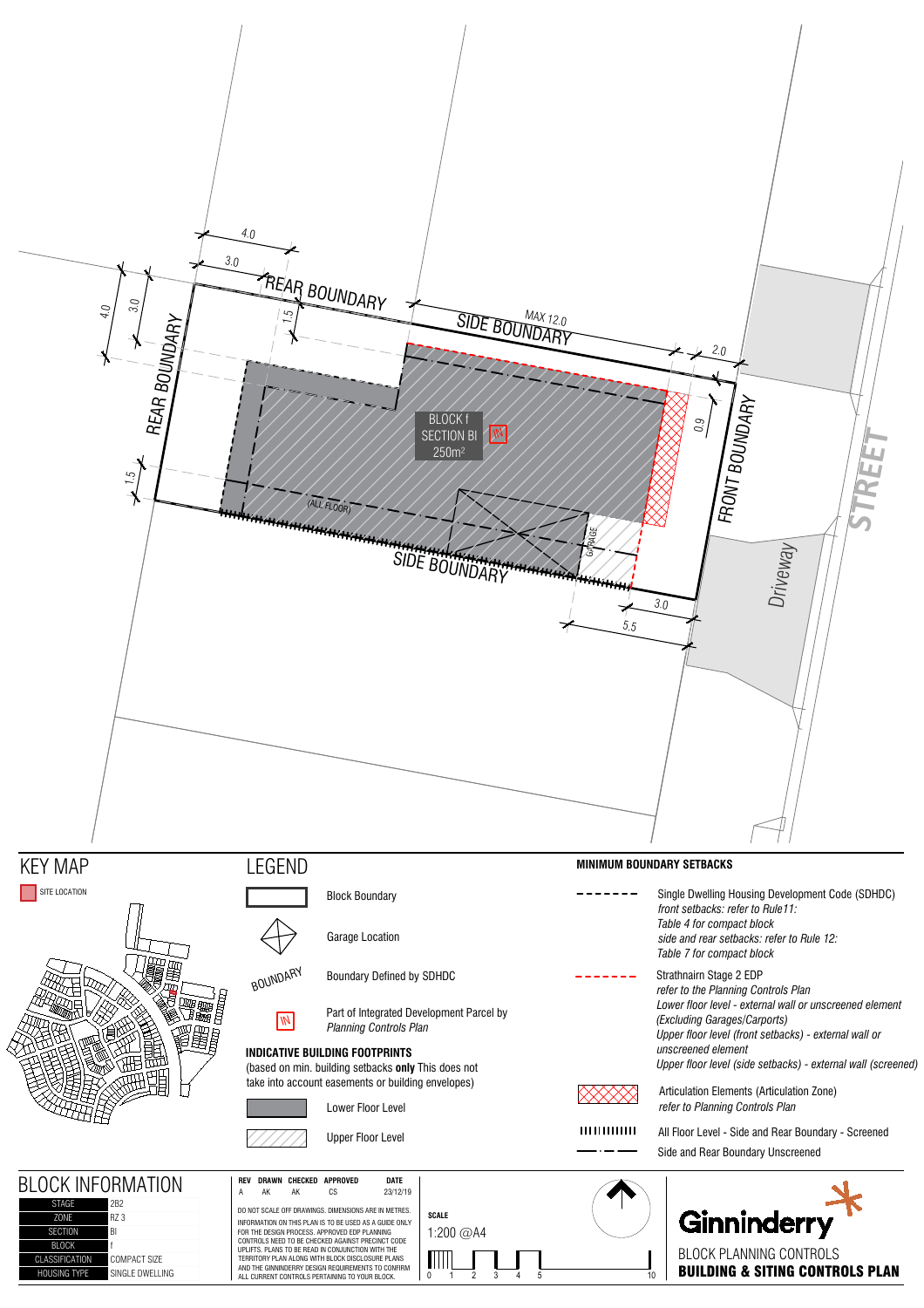